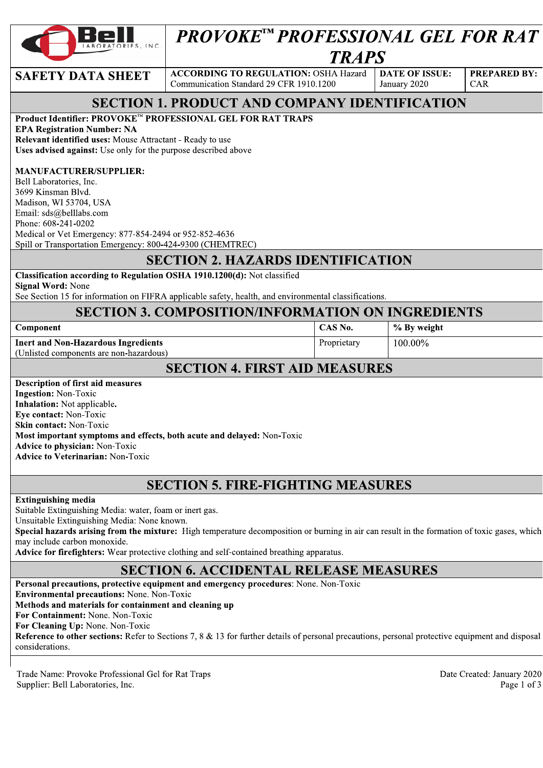

# **PROVOKE™ PROFESSIONAL GEL FOR RAT TRAPS**

#### **SAFETY DATA SHEET**

**ACCORDING TO REGULATION: OSHA Hazard DATE OF ISSUE:** Communication Standard 29 CFR 1910.1200

January 2020

% By weight

100.00%

**PREPARED BY:** CAR

## **SECTION 1. PRODUCT AND COMPANY IDENTIFICATION**

Product Identifier: PROVOKE™ PROFESSIONAL GEL FOR RAT TRAPS

**EPA Registration Number: NA** 

Relevant identified uses: Mouse Attractant - Ready to use Uses advised against: Use only for the purpose described above

#### **MANUFACTURER/SUPPLIER:**

Bell Laboratories, Inc. 3699 Kinsman Blvd. Madison, WI 53704, USA Email: sds@belllabs.com Phone: 608-241-0202 Medical or Vet Emergency: 877-854-2494 or 952-852-4636 Spill or Transportation Emergency: 800-424-9300 (CHEMTREC)

## **SECTION 2. HAZARDS IDENTIFICATION**

## Classification according to Regulation OSHA 1910.1200(d): Not classified

**Signal Word: None** 

See Section 15 for information on FIFRA applicable safety, health, and environmental classifications.

Component

**Inert and Non-Hazardous Ingredients** 

(Unlisted components are non-hazardous)

## **SECTION 4. FIRST AID MEASURES**

CAS No.

Proprietary

| Description of first aid measures                                      |
|------------------------------------------------------------------------|
| <b>Ingestion:</b> Non-Toxic                                            |
| <b>Inhalation:</b> Not applicable.                                     |
| <b>Eye contact:</b> Non-Toxic                                          |
| <b>Skin contact:</b> Non-Toxic                                         |
| Most important symptoms and effects, both acute and delayed: Non-Toxic |
| <b>Advice to physician:</b> Non-Toxic                                  |
| <b>Advice to Veterinarian: Non-Toxic</b>                               |
|                                                                        |

## **SECTION 5. FIRE-FIGHTING MEASURES**

#### **Extinguishing media**

Suitable Extinguishing Media: water, foam or inert gas. Unsuitable Extinguishing Media: None known. Special hazards arising from the mixture: High temperature decomposition or burning in air can result in the formation of toxic gases, which may include carbon monoxide. Advice for firefighters: Wear protective clothing and self-contained breathing apparatus.

### **SECTION 6. ACCIDENTAL RELEASE MEASURES**

Personal precautions, protective equipment and emergency procedures: None. Non-Toxic **Environmental precautions: None. Non-Toxic** Methods and materials for containment and cleaning up For Containment: None. Non-Toxic For Cleaning Up: None. Non-Toxic **Reference to other sections:** Refer to Sections 7, 8 & 13 for further details of personal precautions, personal protective equipment and disposal considerations.

Trade Name: Provoke Professional Gel for Rat Traps Supplier: Bell Laboratories, Inc.

Date Created: January 2020 Page 1 of 3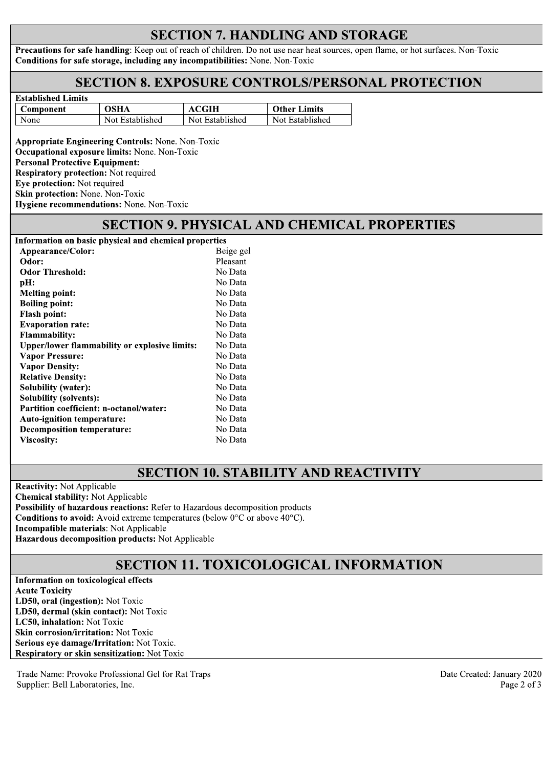## **SECTION 7. HANDLING AND STORAGE**

Precautions for safe handling: Keep out of reach of children. Do not use near heat sources, open flame, or hot surfaces. Non-Toxic Conditions for safe storage, including any incompatibilities: None. Non-Toxic

#### **SECTION 8. EXPOSURE CONTROLS/PERSONAL PROTECTION**

| рмаримся ришк |                 |                 |                     |
|---------------|-----------------|-----------------|---------------------|
| Component     | OSHA            | ACGIH           | <b>Other Limits</b> |
| None          | Not Established | Not Established | Not Established     |

**Appropriate Engineering Controls: None. Non-Toxic** Occupational exposure limits: None. Non-Toxic **Personal Protective Equipment: Respiratory protection: Not required** Eye protection: Not required Skin protection: None. Non-Toxic Hygiene recommendations: None. Non-Toxic

Established Limits

#### **SECTION 9. PHYSICAL AND CHEMICAL PROPERTIES**

| Information on basic physical and chemical properties |           |
|-------------------------------------------------------|-----------|
| Appearance/Color:                                     | Beige gel |
| Odor:                                                 | Pleasant  |
| <b>Odor Threshold:</b>                                | No Data   |
| pH:                                                   | No Data   |
| <b>Melting point:</b>                                 | No Data   |
| <b>Boiling point:</b>                                 | No Data   |
| <b>Flash point:</b>                                   | No Data   |
| <b>Evaporation rate:</b>                              | No Data   |
| <b>Flammability:</b>                                  | No Data   |
| <b>Upper/lower flammability or explosive limits:</b>  | No Data   |
| <b>Vapor Pressure:</b>                                | No Data   |
| <b>Vapor Density:</b>                                 | No Data   |
| <b>Relative Density:</b>                              | No Data   |
| Solubility (water):                                   | No Data   |
| <b>Solubility (solvents):</b>                         | No Data   |
| <b>Partition coefficient: n-octanol/water:</b>        | No Data   |
| <b>Auto-ignition temperature:</b>                     | No Data   |
| <b>Decomposition temperature:</b>                     | No Data   |
| Viscosity:                                            | No Data   |

#### **SECTION 10. STABILITY AND REACTIVITY**

**Reactivity: Not Applicable Chemical stability:** Not Applicable Possibility of hazardous reactions: Refer to Hazardous decomposition products **Conditions to avoid:** Avoid extreme temperatures (below  $0^{\circ}$ C or above  $40^{\circ}$ C). **Incompatible materials: Not Applicable** Hazardous decomposition products: Not Applicable

## **SECTION 11. TOXICOLOGICAL INFORMATION**

**Information on toxicological effects Acute Toxicity** LD50, oral (ingestion): Not Toxic LD50, dermal (skin contact): Not Toxic LC50, inhalation: Not Toxic Skin corrosion/irritation: Not Toxic Serious eve damage/Irritation: Not Toxic. Respiratory or skin sensitization: Not Toxic

Trade Name: Provoke Professional Gel for Rat Traps Supplier: Bell Laboratories, Inc.

Date Created: January 2020 Page 2 of 3